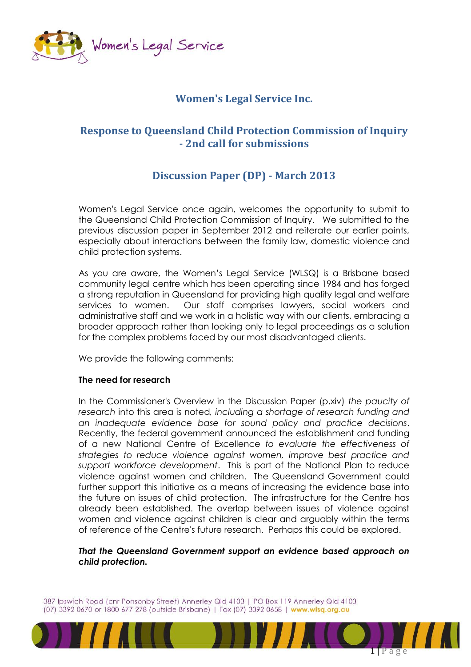

## **Women's Legal Service Inc.**

## **Response to Queensland Child Protection Commission of Inquiry - 2nd call for submissions**

# **Discussion Paper (DP) - March 2013**

Women's Legal Service once again, welcomes the opportunity to submit to the Queensland Child Protection Commission of Inquiry. We submitted to the previous discussion paper in September 2012 and reiterate our earlier points, especially about interactions between the family law, domestic violence and child protection systems.

As you are aware, the Women's Legal Service (WLSQ) is a Brisbane based community legal centre which has been operating since 1984 and has forged a strong reputation in Queensland for providing high quality legal and welfare services to women. Our staff comprises lawyers, social workers and administrative staff and we work in a holistic way with our clients, embracing a broader approach rather than looking only to legal proceedings as a solution for the complex problems faced by our most disadvantaged clients.

We provide the following comments:

## **The need for research**

In the Commissioner's Overview in the Discussion Paper (p.xiv) *the paucity of research* into this area is noted*, including a shortage of research funding and an inadequate evidence base for sound policy and practice decisions*. Recently, the federal government announced the establishment and funding of a new National Centre of Excellence *to evaluate the effectiveness of strategies to reduce violence against women, improve best practice and support workforce development*. This is part of the National Plan to reduce violence against women and children. The Queensland Government could further support this initiative as a means of increasing the evidence base into the future on issues of child protection. The infrastructure for the Centre has already been established. The overlap between issues of violence against women and violence against children is clear and arguably within the terms of reference of the Centre's future research. Perhaps this could be explored.

*That the Queensland Government support an evidence based approach on child protection.* 

387 Ipswich Road (cnr Ponsonby Street) Annerley Qld 4103 | PO Box 119 Annerley Qld 4103 (07) 3392 0670 or 1800 677 278 (outside Brisbane) | Fax (07) 3392 0658 | www.wlsq.org.au

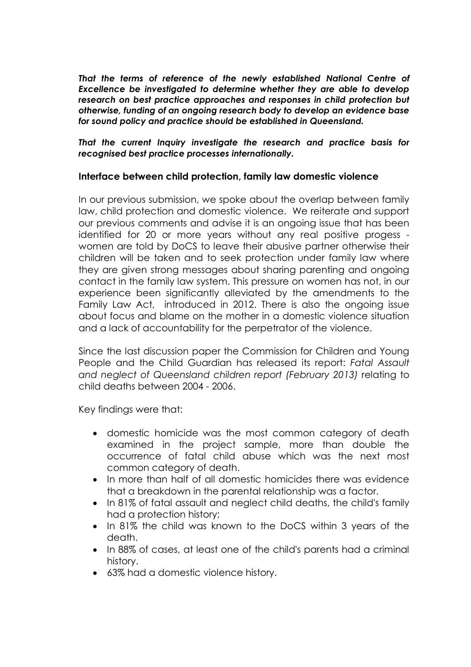*That the terms of reference of the newly established National Centre of Excellence be investigated to determine whether they are able to develop research on best practice approaches and responses in child protection but otherwise, funding of an ongoing research body to develop an evidence base for sound policy and practice should be established in Queensland.*

*That the current Inquiry investigate the research and practice basis for recognised best practice processes internationally.*

## **Interface between child protection, family law domestic violence**

In our previous submission, we spoke about the overlap between family law, child protection and domestic violence. We reiterate and support our previous comments and advise it is an ongoing issue that has been identified for 20 or more years without any real positive progess women are told by DoCS to leave their abusive partner otherwise their children will be taken and to seek protection under family law where they are given strong messages about sharing parenting and ongoing contact in the family law system. This pressure on women has not, in our experience been significantly alleviated by the amendments to the Family Law Act, introduced in 2012. There is also the ongoing issue about focus and blame on the mother in a domestic violence situation and a lack of accountability for the perpetrator of the violence.

Since the last discussion paper the Commission for Children and Young People and the Child Guardian has released its report: *Fatal Assault and neglect of Queensland children report (February 2013)* relating to child deaths between 2004 - 2006.

Key findings were that:

- domestic homicide was the most common category of death examined in the project sample, more than double the occurrence of fatal child abuse which was the next most common category of death.
- In more than half of all domestic homicides there was evidence that a breakdown in the parental relationship was a factor.
- In 81% of fatal assault and neglect child deaths, the child's family had a protection history;
- In 81% the child was known to the DoCS within 3 years of the death.
- In 88% of cases, at least one of the child's parents had a criminal history.
- 63% had a domestic violence history.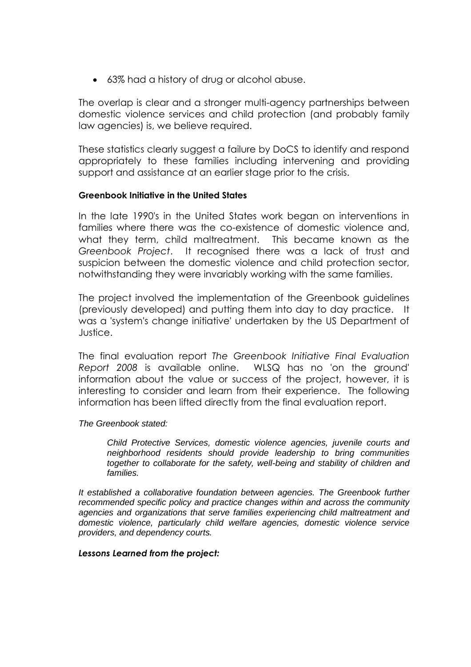63% had a history of drug or alcohol abuse.

The overlap is clear and a stronger multi-agency partnerships between domestic violence services and child protection (and probably family law agencies) is, we believe required.

These statistics clearly suggest a failure by DoCS to identify and respond appropriately to these families including intervening and providing support and assistance at an earlier stage prior to the crisis.

### **Greenbook Initiative in the United States**

In the late 1990's in the United States work began on interventions in families where there was the co-existence of domestic violence and, what they term, child maltreatment. This became known as the *Greenbook Project*. It recognised there was a lack of trust and suspicion between the domestic violence and child protection sector, notwithstanding they were invariably working with the same families.

The project involved the implementation of the Greenbook guidelines (previously developed) and putting them into day to day practice. It was a 'system's change initiative' undertaken by the US Department of Justice.

The final evaluation report *The Greenbook Initiative Final Evaluation Report 2008* is available online. WLSQ has no 'on the ground' information about the value or success of the project, however, it is interesting to consider and learn from their experience. The following information has been lifted directly from the final evaluation report.

### *The Greenbook stated:*

*Child Protective Services, domestic violence agencies, juvenile courts and neighborhood residents should provide leadership to bring communities together to collaborate for the safety, well-being and stability of children and families.* 

*It established a collaborative foundation between agencies. The Greenbook further recommended specific policy and practice changes within and across the community agencies and organizations that serve families experiencing child maltreatment and domestic violence, particularly child welfare agencies, domestic violence service providers, and dependency courts.* 

### *Lessons Learned from the project:*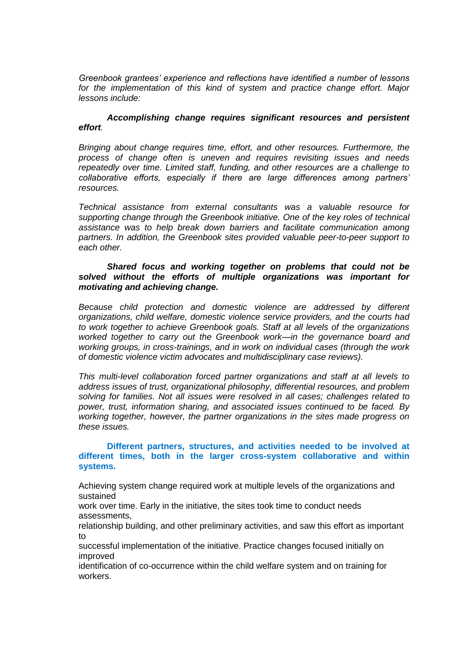*Greenbook grantees' experience and reflections have identified a number of lessons for the implementation of this kind of system and practice change effort. Major lessons include:* 

#### *Accomplishing change requires significant resources and persistent effort.*

*Bringing about change requires time, effort, and other resources. Furthermore, the process of change often is uneven and requires revisiting issues and needs repeatedly over time. Limited staff, funding, and other resources are a challenge to collaborative efforts, especially if there are large differences among partners' resources.* 

*Technical assistance from external consultants was a valuable resource for supporting change through the Greenbook initiative. One of the key roles of technical assistance was to help break down barriers and facilitate communication among partners. In addition, the Greenbook sites provided valuable peer-to-peer support to each other.* 

#### *Shared focus and working together on problems that could not be solved without the efforts of multiple organizations was important for motivating and achieving change.*

*Because child protection and domestic violence are addressed by different organizations, child welfare, domestic violence service providers, and the courts had to work together to achieve Greenbook goals. Staff at all levels of the organizations worked together to carry out the Greenbook work—in the governance board and working groups, in cross-trainings, and in work on individual cases (through the work of domestic violence victim advocates and multidisciplinary case reviews).* 

*This multi-level collaboration forced partner organizations and staff at all levels to address issues of trust, organizational philosophy, differential resources, and problem solving for families. Not all issues were resolved in all cases; challenges related to power, trust, information sharing, and associated issues continued to be faced. By working together, however, the partner organizations in the sites made progress on these issues.* 

#### **Different partners, structures, and activities needed to be involved at different times, both in the larger cross-system collaborative and within systems.**

Achieving system change required work at multiple levels of the organizations and sustained

work over time. Early in the initiative, the sites took time to conduct needs assessments,

relationship building, and other preliminary activities, and saw this effort as important to

successful implementation of the initiative. Practice changes focused initially on improved

identification of co-occurrence within the child welfare system and on training for workers.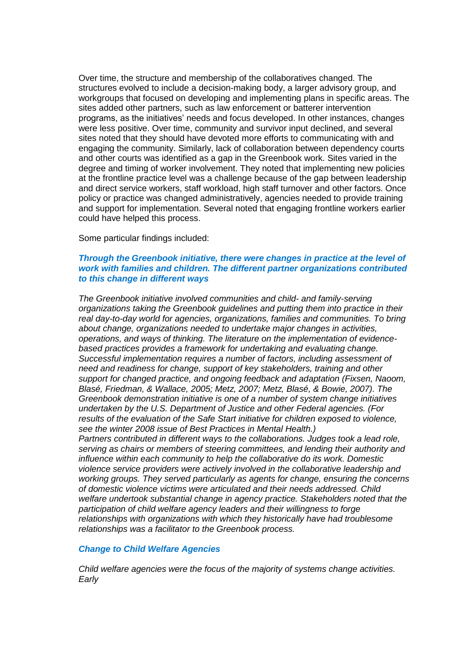Over time, the structure and membership of the collaboratives changed. The structures evolved to include a decision-making body, a larger advisory group, and workgroups that focused on developing and implementing plans in specific areas. The sites added other partners, such as law enforcement or batterer intervention programs, as the initiatives' needs and focus developed. In other instances, changes were less positive. Over time, community and survivor input declined, and several sites noted that they should have devoted more efforts to communicating with and engaging the community. Similarly, lack of collaboration between dependency courts and other courts was identified as a gap in the Greenbook work. Sites varied in the degree and timing of worker involvement. They noted that implementing new policies at the frontline practice level was a challenge because of the gap between leadership and direct service workers, staff workload, high staff turnover and other factors. Once policy or practice was changed administratively, agencies needed to provide training and support for implementation. Several noted that engaging frontline workers earlier could have helped this process.

#### Some particular findings included:

#### *Through the Greenbook initiative, there were changes in practice at the level of work with families and children. The different partner organizations contributed to this change in different ways*

*The Greenbook initiative involved communities and child- and family-serving organizations taking the Greenbook guidelines and putting them into practice in their real day-to-day world for agencies, organizations, families and communities. To bring about change, organizations needed to undertake major changes in activities, operations, and ways of thinking. The literature on the implementation of evidencebased practices provides a framework for undertaking and evaluating change. Successful implementation requires a number of factors, including assessment of need and readiness for change, support of key stakeholders, training and other support for changed practice, and ongoing feedback and adaptation (Fixsen, Naoom, Blasé, Friedman, & Wallace, 2005; Metz, 2007; Metz, Blasé, & Bowie, 2007). The Greenbook demonstration initiative is one of a number of system change initiatives undertaken by the U.S. Department of Justice and other Federal agencies. (For results of the evaluation of the Safe Start initiative for children exposed to violence, see the winter 2008 issue of Best Practices in Mental Health.) Partners contributed in different ways to the collaborations. Judges took a lead role, serving as chairs or members of steering committees, and lending their authority and influence within each community to help the collaborative do its work. Domestic violence service providers were actively involved in the collaborative leadership and working groups. They served particularly as agents for change, ensuring the concerns of domestic violence victims were articulated and their needs addressed. Child welfare undertook substantial change in agency practice. Stakeholders noted that the participation of child welfare agency leaders and their willingness to forge relationships with organizations with which they historically have had troublesome relationships was a facilitator to the Greenbook process.*

#### *Change to Child Welfare Agencies*

*Child welfare agencies were the focus of the majority of systems change activities. Early*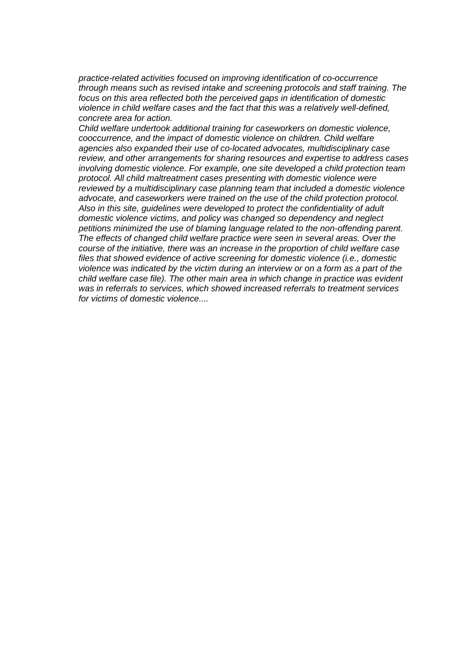*practice-related activities focused on improving identification of co-occurrence through means such as revised intake and screening protocols and staff training. The focus on this area reflected both the perceived gaps in identification of domestic violence in child welfare cases and the fact that this was a relatively well-defined, concrete area for action.*

*Child welfare undertook additional training for caseworkers on domestic violence, cooccurrence, and the impact of domestic violence on children. Child welfare agencies also expanded their use of co-located advocates, multidisciplinary case review, and other arrangements for sharing resources and expertise to address cases involving domestic violence. For example, one site developed a child protection team protocol. All child maltreatment cases presenting with domestic violence were reviewed by a multidisciplinary case planning team that included a domestic violence advocate, and caseworkers were trained on the use of the child protection protocol. Also in this site, guidelines were developed to protect the confidentiality of adult domestic violence victims, and policy was changed so dependency and neglect petitions minimized the use of blaming language related to the non-offending parent. The effects of changed child welfare practice were seen in several areas. Over the course of the initiative, there was an increase in the proportion of child welfare case files that showed evidence of active screening for domestic violence (i.e., domestic violence was indicated by the victim during an interview or on a form as a part of the child welfare case file). The other main area in which change in practice was evident was in referrals to services, which showed increased referrals to treatment services for victims of domestic violence....*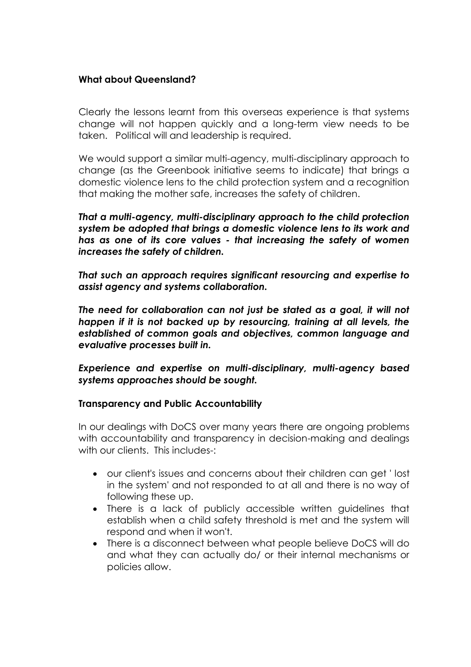## **What about Queensland?**

Clearly the lessons learnt from this overseas experience is that systems change will not happen quickly and a long-term view needs to be taken. Political will and leadership is required.

We would support a similar multi-agency, multi-disciplinary approach to change (as the Greenbook initiative seems to indicate) that brings a domestic violence lens to the child protection system and a recognition that making the mother safe, increases the safety of children.

*That a multi-agency, multi-disciplinary approach to the child protection system be adopted that brings a domestic violence lens to its work and has as one of its core values - that increasing the safety of women increases the safety of children.* 

*That such an approach requires significant resourcing and expertise to assist agency and systems collaboration.*

The need for collaboration can not just be stated as a goal, it will not *happen if it is not backed up by resourcing, training at all levels, the established of common goals and objectives, common language and evaluative processes built in.* 

*Experience and expertise on multi-disciplinary, multi-agency based systems approaches should be sought.*

## **Transparency and Public Accountability**

In our dealings with DoCS over many years there are ongoing problems with accountability and transparency in decision-making and dealings with our clients. This includes-:

- our client's issues and concerns about their children can get ' lost in the system' and not responded to at all and there is no way of following these up.
- There is a lack of publicly accessible written guidelines that establish when a child safety threshold is met and the system will respond and when it won't.
- There is a disconnect between what people believe DoCS will do and what they can actually do/ or their internal mechanisms or policies allow.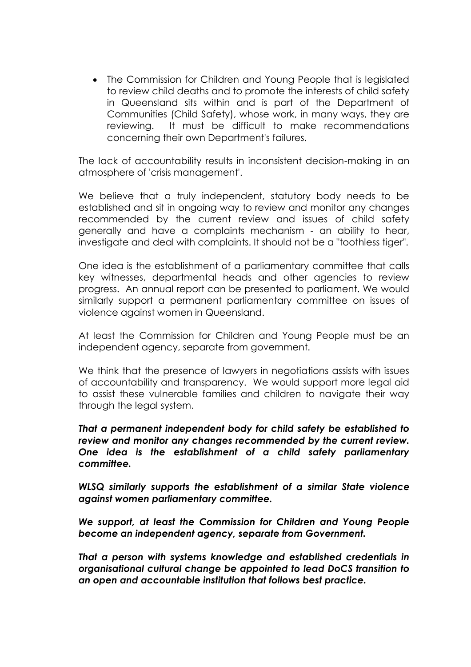The Commission for Children and Young People that is legislated to review child deaths and to promote the interests of child safety in Queensland sits within and is part of the Department of Communities (Child Safety), whose work, in many ways, they are reviewing. It must be difficult to make recommendations concerning their own Department's failures.

The lack of accountability results in inconsistent decision-making in an atmosphere of 'crisis management'.

We believe that a truly independent, statutory body needs to be established and sit in ongoing way to review and monitor any changes recommended by the current review and issues of child safety generally and have a complaints mechanism - an ability to hear, investigate and deal with complaints. It should not be a "toothless tiger".

One idea is the establishment of a parliamentary committee that calls key witnesses, departmental heads and other agencies to review progress. An annual report can be presented to parliament. We would similarly support a permanent parliamentary committee on issues of violence against women in Queensland.

At least the Commission for Children and Young People must be an independent agency, separate from government.

We think that the presence of lawyers in negotiations assists with issues of accountability and transparency. We would support more legal aid to assist these vulnerable families and children to navigate their way through the legal system.

*That a permanent independent body for child safety be established to review and monitor any changes recommended by the current review. One idea is the establishment of a child safety parliamentary committee.* 

*WLSQ similarly supports the establishment of a similar State violence against women parliamentary committee.*

*We support, at least the Commission for Children and Young People become an independent agency, separate from Government.*

*That a person with systems knowledge and established credentials in organisational cultural change be appointed to lead DoCS transition to an open and accountable institution that follows best practice.*